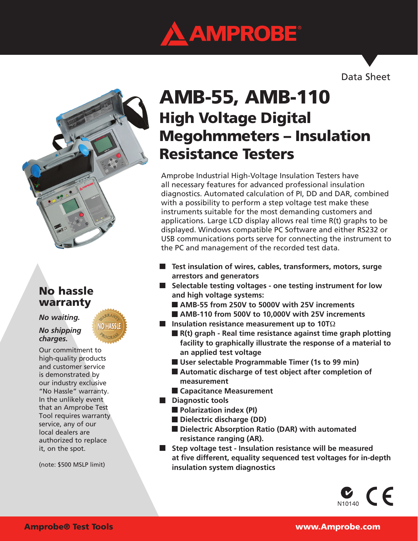

Data Sheet



## No hassle warranty

#### *No waiting.*

#### *No shipping charges.*

Our commitment to high-quality products and customer service is demonstrated by our industry exclusive "No Hassle" warranty. In the unlikely event that an Amprobe Test Tool requires warranty service, any of our local dealers are authorized to replace it, on the spot.

(note: \$500 MSLP limit)

# High Voltage Digital Megohmmeters – Insulation Resistance Testers AMB-55, AMB-110

Amprobe Industrial High-Voltage Insulation Testers have all necessary features for advanced professional insulation diagnostics. Automated calculation of PI, DD and DAR, combined with a possibility to perform a step voltage test make these instruments suitable for the most demanding customers and applications. Large LCD display allows real time R(t) graphs to be displayed. Windows compatible PC Software and either RS232 or USB communications ports serve for connecting the instrument to the PC and management of the recorded test data.

- **Test insulation of wires, cables, transformers, motors, surge arrestors and generators**
- **Selectable testing voltages one testing instrument for low and high voltage systems:**
	- **AMB-55 from 250V to 5000V with 25V increments**
- **AMB-110 from 500V to 10,000V with 25V increments**
- **Insulation resistance measurement up to 10T**Ω
	- **R(t)** graph Real time resistance against time graph plotting  **facility to graphically illustrate the response of a material to an applied test voltage**
	- **User selectable Programmable Timer (1s to 99 min)**
	- Automatic discharge of test object after completion of  **measurement**
	- **Capacitance Measurement**
- **Diagnostic tools** 
	- **Polarization index (PI)**
	- **Dielectric discharge (DD)**
	- **Dielectric Absorption Ratio (DAR) with automated resistance ranging (AR).**
- **Step voltage test Insulation resistance will be measured at five different, equality sequenced test voltages for in-depth insulation system diagnostics**

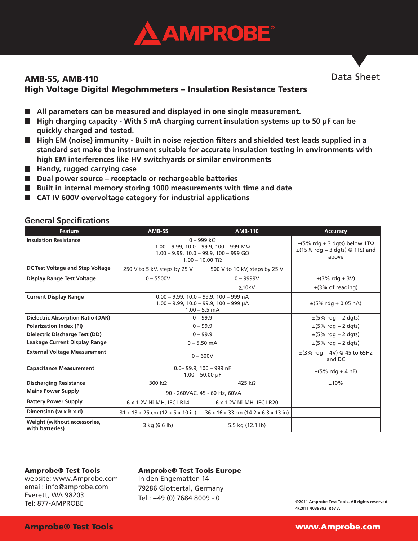

### AMB-55, AMB-110 High Voltage Digital Megohmmeters – Insulation Resistance Testers

- All parameters can be measured and displayed in one single measurement.
- **High charging capacity With 5 mA charging current insulation systems up to 50 μF can be quickly charged and tested.**
- High EM (noise) immunity Built in noise rejection filters and shielded test leads supplied in a **standard set make the instrument suitable for accurate insulation testing in environments with high EM interferences like HV switchyards or similar environments**
- **Handy, rugged carrying case**
- Dual power source receptacle or rechargeable batteries
- **Built in internal memory storing 1000 measurements with time and date**
- **CAT IV 600V overvoltage category for industrial applications**

| <b>Feature</b>                                  | <b>AMB-55</b>                                                                                                                                            | <b>AMB-110</b>                       | <b>Accuracy</b>                                                                                  |
|-------------------------------------------------|----------------------------------------------------------------------------------------------------------------------------------------------------------|--------------------------------------|--------------------------------------------------------------------------------------------------|
| <b>Insulation Resistance</b>                    | $0 - 999$ kΩ<br>$1.00 - 9.99$ , 10.0 - 99.9, 100 - 999 M $\Omega$<br>$1.00 - 9.99$ , $10.0 - 99.9$ , $100 - 999$ G $\Omega$<br>$1.00 - 10.00$ T $\Omega$ |                                      | $\pm$ (5% rdg + 3 dgts) below 1T $\Omega$<br>$\pm$ (15% rdg + 3 dgts) @ 1T $\Omega$ and<br>above |
| DC Test Voltage and Step Voltage                | 250 V to 5 kV, steps by 25 V                                                                                                                             | 500 V to 10 kV, steps by 25 V        |                                                                                                  |
| <b>Display Range Test Voltage</b>               | $0 - 5500V$                                                                                                                                              | $0 - 9999V$                          | $\pm$ (3% rdg + 3V)                                                                              |
|                                                 |                                                                                                                                                          | $\geq 10kV$                          | $\pm$ (3% of reading)                                                                            |
| <b>Current Display Range</b>                    | $0.00 - 9.99$ , 10.0 - 99.9, 100 - 999 nA<br>$1.00 - 9.99$ , $10.0 - 99.9$ , $100 - 999$ µA<br>$1.00 - 5.5$ mA                                           |                                      | $\pm$ (5% rdg + 0.05 nA)                                                                         |
| <b>Dielectric Absorption Ratio (DAR)</b>        | $0 - 99.9$                                                                                                                                               |                                      | $\pm$ (5% rdg + 2 dgts)                                                                          |
| <b>Polarization Index (PI)</b>                  | $0 - 99.9$                                                                                                                                               |                                      | $\pm$ (5% rdg + 2 dgts)                                                                          |
| Dielectric Discharge Test (DD)                  | $0 - 99.9$                                                                                                                                               |                                      | $\pm$ (5% rdg + 2 dgts)                                                                          |
| Leakage Current Display Range                   | $0 - 5.50$ mA                                                                                                                                            |                                      | $\pm$ (5% rdg + 2 dgts)                                                                          |
| <b>External Voltage Measurement</b>             | $0 - 600V$                                                                                                                                               |                                      | $\pm$ (3% rdg + 4V) @ 45 to 65Hz<br>and DC                                                       |
| <b>Capacitance Measurement</b>                  | $0.0 - 99.9$ , $100 - 999$ nF<br>$1.00 - 50.00 \mu F$                                                                                                    |                                      | $\pm (5\% \text{ rdq} + 4 \text{ nF})$                                                           |
| <b>Discharging Resistance</b>                   | 300 k $\Omega$                                                                                                                                           | 425 k $\Omega$                       | ±10%                                                                                             |
| <b>Mains Power Supply</b>                       | 90 - 260VAC, 45 - 60 Hz, 60VA                                                                                                                            |                                      |                                                                                                  |
| <b>Battery Power Supply</b>                     | 6 x 1.2V Ni-MH, IEC LR14                                                                                                                                 | 6 x 1.2V Ni-MH, IEC LR20             |                                                                                                  |
| Dimension (w x h x d)                           | 31 x 13 x 25 cm (12 x 5 x 10 in)                                                                                                                         | 36 x 16 x 33 cm (14.2 x 6.3 x 13 in) |                                                                                                  |
| Weight (without accessories,<br>with batteries) | 3 kg (6.6 lb)                                                                                                                                            | 5.5 kg (12.1 lb)                     |                                                                                                  |

### **General Specifications**

#### Amprobe® Test Tools

website: www.Amprobe.com email: info@amprobe.com Everett, WA 98203 Tel: 877-AMPROBE

#### Amprobe® Test Tools Europe

In den Engematten 14 79286 Glottertal, Germany Tel.: +49 (0) 7684 8009 - 0

**©2011 Amprobe Test Tools. All rights reserved. 4/2011 4039992 Rev A**

Data Sheet

#### Amprobe® Test Tools www.Amprobe.com